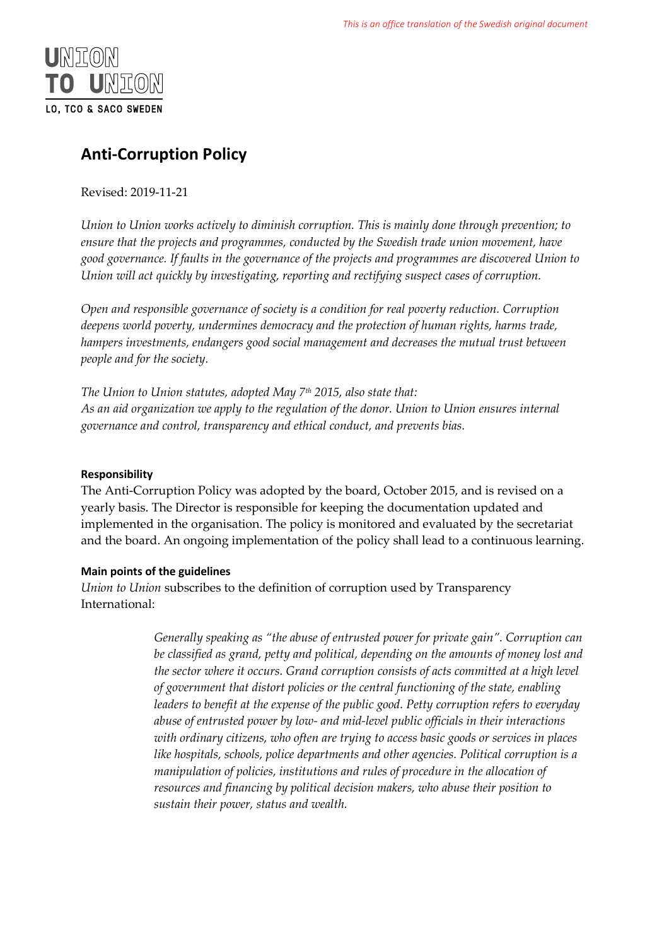

# **Anti-Corruption Policy**

Revised: 2019-11-21

*Union to Union works actively to diminish corruption. This is mainly done through prevention; to ensure that the projects and programmes, conducted by the Swedish trade union movement, have good governance. If faults in the governance of the projects and programmes are discovered Union to Union will act quickly by investigating, reporting and rectifying suspect cases of corruption.* 

*Open and responsible governance of society is a condition for real poverty reduction. Corruption deepens world poverty, undermines democracy and the protection of human rights, harms trade, hampers investments, endangers good social management and decreases the mutual trust between people and for the society.* 

*The Union to Union statutes, adopted May 7th 2015, also state that: As an aid organization we apply to the regulation of the donor. Union to Union ensures internal governance and control, transparency and ethical conduct, and prevents bias.*

# **Responsibility**

The Anti-Corruption Policy was adopted by the board, October 2015, and is revised on a yearly basis. The Director is responsible for keeping the documentation updated and implemented in the organisation. The policy is monitored and evaluated by the secretariat and the board. An ongoing implementation of the policy shall lead to a continuous learning.

# **Main points of the guidelines**

*Union to Union* subscribes to the definition of corruption used by Transparency International:

> *Generally speaking as "the abuse of entrusted power for private gain". Corruption can be classified as grand, petty and political, depending on the amounts of money lost and the sector where it occurs. Grand corruption consists of acts committed at a high level of government that distort policies or the central functioning of the state, enabling leaders to benefit at the expense of the public good. Petty corruption refers to everyday abuse of entrusted power by low- and mid-level public officials in their interactions with ordinary citizens, who often are trying to access basic goods or services in places like hospitals, schools, police departments and other agencies. Political corruption is a manipulation of policies, institutions and rules of procedure in the allocation of resources and financing by political decision makers, who abuse their position to sustain their power, status and wealth.*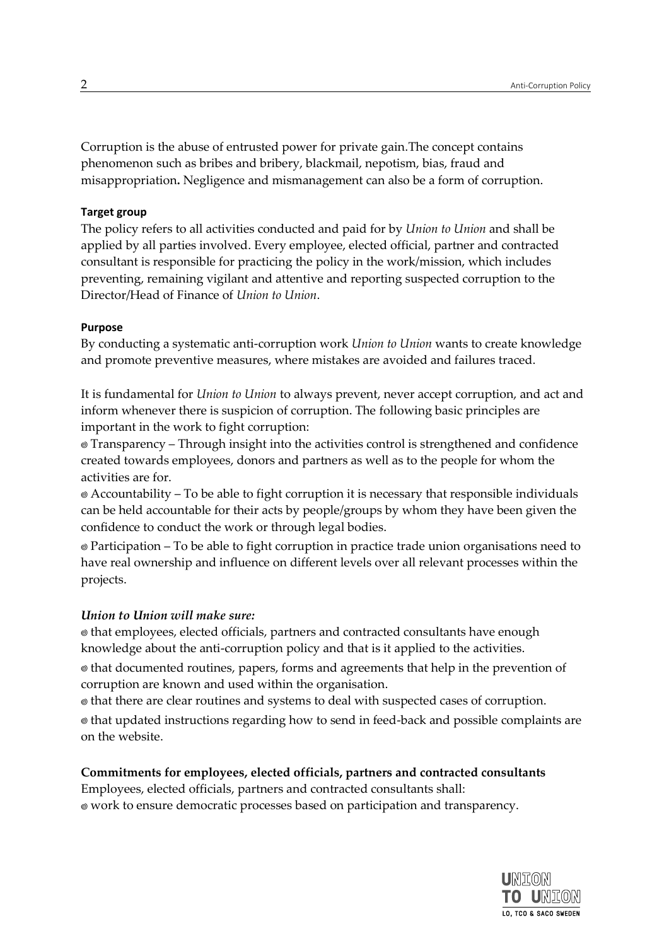Corruption is the abuse of entrusted power for private gain.The concept contains phenomenon such as bribes and bribery, blackmail, nepotism, bias, fraud and [misappropriation](http://sv.bab.la/lexikon/engelsk-svensk/misappropriation)**.** Negligence and mismanagement can also be a form of corruption.

#### **Target group**

The policy refers to all activities conducted and paid for by *Union to Union* and shall be applied by all parties involved. Every employee, elected official, partner and contracted consultant is responsible for practicing the policy in the work/mission, which includes preventing, remaining vigilant and attentive and reporting suspected corruption to the Director/Head of Finance of *Union to Union*.

#### **Purpose**

By conducting a systematic anti-corruption work *Union to Union* wants to create knowledge and promote preventive measures, where mistakes are avoided and failures traced.

It is fundamental for *Union to Union* to always prevent, never accept corruption, and act and inform whenever there is suspicion of corruption. The following basic principles are important in the work to fight corruption:

Transparency – Through insight into the activities control is strengthened and confidence created towards employees, donors and partners as well as to the people for whom the activities are for.

Accountability – To be able to fight corruption it is necessary that responsible individuals can be held accountable for their acts by people/groups by whom they have been given the confidence to conduct the work or through legal bodies.

Participation – To be able to fight corruption in practice trade union organisations need to have real ownership and influence on different levels over all relevant processes within the projects.

## *Union to Union will make sure:*

that employees, elected officials, partners and contracted consultants have enough knowledge about the anti-corruption policy and that is it applied to the activities. that documented routines, papers, forms and agreements that help in the prevention of corruption are known and used within the organisation.

that there are clear routines and systems to deal with suspected cases of corruption. that updated instructions regarding how to send in feed-back and possible complaints are

on the website.

## **Commitments for employees, elected officials, partners and contracted consultants**

Employees, elected officials, partners and contracted consultants shall: work to ensure democratic processes based on participation and transparency.